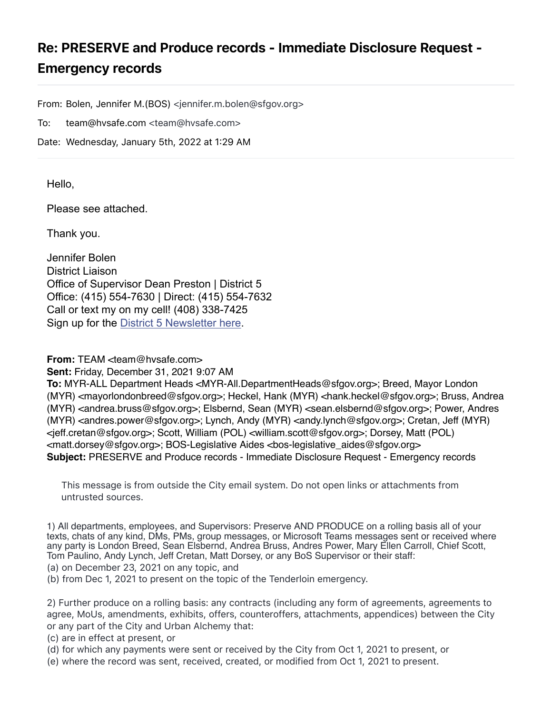## Re: PRESERVE and Produce records - Immediate Disclosure Request - Emergency records

From: Bolen, Jennifer M.(BOS) <jennifer.m.bolen@sfgov.org>

To: team@hvsafe.com <team@hvsafe.com>

Date: Wednesday, January 5th, 2022 at 1:29 AM

Hello,

Please see attached.

Thank you.

Jennifer Bolen District Liaison Office of Supervisor Dean Preston | District 5 Office: (415) 554-7630 | Direct: (415) 554-7632 Call or text my on my cell! (408) 338-7425 Sign up for the [District 5 Newsletter here](https://fe3f15707564077d741374.pub.s10.sfmc-content.com/j3ltc3jkttv).

**From:** TEAM <team@hysafe.com>

**Sent:** Friday, December 31, 2021 9:07 AM

**To:** MYR-ALL Department Heads <MYR-All.DepartmentHeads@sfgov.org>; Breed, Mayor London (MYR) <mayorlondonbreed@sfgov.org>; Heckel, Hank (MYR) <hank.heckel@sfgov.org>; Bruss, Andrea (MYR) <andrea.bruss@sfgov.org>; Elsbernd, Sean (MYR) <sean.elsbernd@sfgov.org>; Power, Andres (MYR) <andres.power@sfgov.org>; Lynch, Andy (MYR) <andy.lynch@sfgov.org>; Cretan, Jeff (MYR) <jeff.cretan@sfgov.org>; Scott, William (POL) <william.scott@sfgov.org>; Dorsey, Matt (POL) <matt.dorsey@sfgov.org>; BOS-Legislative Aides <bos-legislative\_aides@sfgov.org> **Subject:** PRESERVE and Produce records - Immediate Disclosure Request - Emergency records

This message is from outside the City email system. Do not open links or attachments from untrusted sources.

1) All departments, employees, and Supervisors: Preserve AND PRODUCE on a rolling basis all of your texts, chats of any kind, DMs, PMs, group messages, or Microsoft Teams messages sent or received where any party is London Breed, Sean Elsbernd, Andrea Bruss, Andres Power, Mary Ellen Carroll, Chief Scott, Tom Paulino, Andy Lynch, Jeff Cretan, Matt Dorsey, or any BoS Supervisor or their staff:

(a) on December 23, 2021 on any topic, and

(b) from Dec 1, 2021 to present on the topic of the Tenderloin emergency.

2) Further produce on a rolling basis: any contracts (including any form of agreements, agreements to agree, MoUs, amendments, exhibits, offers, counteroffers, attachments, appendices) between the City or any part of the City and Urban Alchemy that:

(c) are in effect at present, or

- (d) for which any payments were sent or received by the City from Oct 1, 2021 to present, or
- (e) where the record was sent, received, created, or modified from Oct 1, 2021 to present.